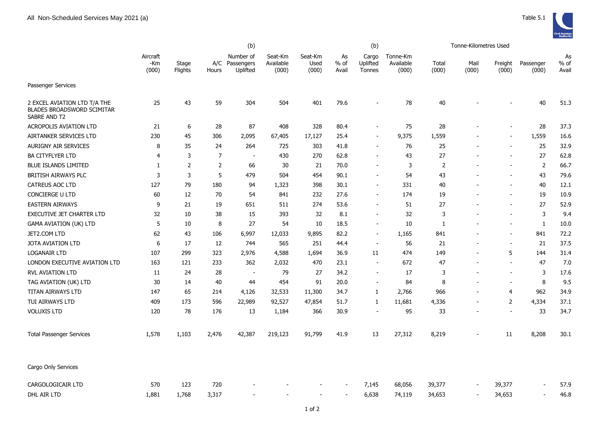

|                                                                                   | (b)                      |                  |                |                                     |                               |                          | (b)                   |                             |                                |                | Tonne-Kilometres Used    |                          |                          |                       |
|-----------------------------------------------------------------------------------|--------------------------|------------------|----------------|-------------------------------------|-------------------------------|--------------------------|-----------------------|-----------------------------|--------------------------------|----------------|--------------------------|--------------------------|--------------------------|-----------------------|
|                                                                                   | Aircraft<br>-Km<br>(000) | Stage<br>Flights | A/C<br>Hours   | Number of<br>Passengers<br>Uplifted | Seat-Km<br>Available<br>(000) | Seat-Km<br>Used<br>(000) | As<br>$%$ of<br>Avail | Cargo<br>Uplifted<br>Tonnes | Tonne-Km<br>Available<br>(000) | Total<br>(000) | Mail<br>(000)            | Freight<br>(000)         | Passenger<br>(000)       | As<br>$%$ of<br>Avail |
| Passenger Services                                                                |                          |                  |                |                                     |                               |                          |                       |                             |                                |                |                          |                          |                          |                       |
| 2 EXCEL AVIATION LTD T/A THE<br><b>BLADES BROADSWORD SCIMITAR</b><br>SABRE AND T2 | 25                       | 43               | 59             | 304                                 | 504                           | 401                      | 79.6                  |                             | 78                             | 40             |                          |                          | 40                       | 51.3                  |
| <b>ACROPOLIS AVIATION LTD</b>                                                     | 21                       | 6                | 28             | 87                                  | 408                           | 328                      | 80.4                  | $\overline{\phantom{a}}$    | 75                             | 28             |                          | $\overline{\phantom{a}}$ | 28                       | 37.3                  |
| AIRTANKER SERVICES LTD                                                            | 230                      | 45               | 306            | 2,095                               | 67,405                        | 17,127                   | 25.4                  | $\overline{\phantom{a}}$    | 9,375                          | 1,559          | $\overline{\phantom{a}}$ | $\overline{\phantom{a}}$ | 1,559                    | 16.6                  |
| <b>AURIGNY AIR SERVICES</b>                                                       | 8                        | 35               | 24             | 264                                 | 725                           | 303                      | 41.8                  | $\sim$                      | 76                             | 25             | $\overline{a}$           | $\overline{\phantom{a}}$ | 25                       | 32.9                  |
| <b>BA CITYFLYER LTD</b>                                                           | $\overline{4}$           | 3                | $\overline{7}$ | $\sim$                              | 430                           | 270                      | 62.8                  |                             | 43                             | 27             |                          | ÷.                       | 27                       | 62.8                  |
| <b>BLUE ISLANDS LIMITED</b>                                                       | 1                        | $\overline{2}$   | 2              | 66                                  | 30                            | 21                       | 70.0                  |                             | 3                              | $\overline{2}$ |                          | $\overline{\phantom{a}}$ | 2                        | 66.7                  |
| BRITISH AIRWAYS PLC                                                               | 3                        | 3                | 5              | 479                                 | 504                           | 454                      | 90.1                  |                             | 54                             | 43             |                          |                          | 43                       | 79.6                  |
| <b>CATREUS AOC LTD</b>                                                            | 127                      | 79               | 180            | 94                                  | 1,323                         | 398                      | 30.1                  | $\sim$                      | 331                            | 40             |                          | $\overline{\phantom{a}}$ | 40                       | 12.1                  |
| CONCIERGE U LTD                                                                   | 60                       | 12               | 70             | 54                                  | 841                           | 232                      | 27.6                  | ٠                           | 174                            | 19             |                          | $\overline{\phantom{a}}$ | 19                       | 10.9                  |
| <b>EASTERN AIRWAYS</b>                                                            | 9                        | 21               | 19             | 651                                 | 511                           | 274                      | 53.6                  |                             | 51                             | 27             |                          | $\overline{\phantom{a}}$ | 27                       | 52.9                  |
| <b>EXECUTIVE JET CHARTER LTD</b>                                                  | 32                       | 10               | 38             | 15                                  | 393                           | 32                       | 8.1                   |                             | 32                             | 3              |                          |                          | 3                        | 9.4                   |
| <b>GAMA AVIATION (UK) LTD</b>                                                     | 5                        | 10               | 8              | 27                                  | 54                            | 10                       | 18.5                  |                             | 10                             | 1              |                          |                          | $\mathbf{1}$             | 10.0                  |
| JET2.COM LTD                                                                      | 62                       | 43               | 106            | 6,997                               | 12,033                        | 9,895                    | 82.2                  | $\sim$                      | 1,165                          | 841            |                          | $\overline{\phantom{a}}$ | 841                      | 72.2                  |
| <b>JOTA AVIATION LTD</b>                                                          | 6                        | 17               | 12             | 744                                 | 565                           | 251                      | 44.4                  | $\overline{a}$              | 56                             | 21             |                          | $\overline{\phantom{a}}$ | 21                       | 37.5                  |
| <b>LOGANAIR LTD</b>                                                               | 107                      | 299              | 323            | 2,976                               | 4,588                         | 1,694                    | 36.9                  | 11                          | 474                            | 149            |                          | 5                        | 144                      | 31.4                  |
| LONDON EXECUTIVE AVIATION LTD                                                     | 163                      | 121              | 233            | 362                                 | 2,032                         | 470                      | 23.1                  |                             | 672                            | 47             | $\overline{\phantom{a}}$ | $\overline{\phantom{a}}$ | 47                       | 7.0                   |
| <b>RVL AVIATION LTD</b>                                                           | 11                       | 24               | 28             | $\blacksquare$                      | 79                            | 27                       | 34.2                  | $\overline{\phantom{a}}$    | 17                             | 3              |                          | $\sim$                   | 3                        | 17.6                  |
| TAG AVIATION (UK) LTD                                                             | 30                       | 14               | 40             | 44                                  | 454                           | 91                       | 20.0                  | $\sim$                      | 84                             | 8              |                          | $\sim$                   | 8                        | 9.5                   |
| TITAN AIRWAYS LTD                                                                 | 147                      | 65               | 214            | 4,126                               | 32,533                        | 11,300                   | 34.7                  | $\mathbf{1}$                | 2,766                          | 966            | $\overline{a}$           | $\overline{4}$           | 962                      | 34.9                  |
| TUI AIRWAYS LTD                                                                   | 409                      | 173              | 596            | 22,989                              | 92,527                        | 47,854                   | 51.7                  | $\mathbf{1}$                | 11,681                         | 4,336          | $\overline{a}$           | $\overline{2}$           | 4,334                    | 37.1                  |
| <b>VOLUXIS LTD</b>                                                                | 120                      | 78               | 176            | 13                                  | 1,184                         | 366                      | 30.9                  | $\overline{a}$              | 95                             | 33             |                          | $\overline{\phantom{a}}$ | 33                       | 34.7                  |
| <b>Total Passenger Services</b>                                                   | 1,578                    | 1,103            | 2,476          | 42,387                              | 219,123                       | 91,799                   | 41.9                  | 13                          | 27,312                         | 8,219          |                          | 11                       | 8,208                    | 30.1                  |
| Cargo Only Services                                                               |                          |                  |                |                                     |                               |                          |                       |                             |                                |                |                          |                          |                          |                       |
| <b>CARGOLOGICAIR LTD</b>                                                          | 570                      | 123              | 720            |                                     |                               |                          |                       | 7,145                       | 68,056                         | 39,377         |                          | 39,377                   | $\overline{\phantom{a}}$ | 57.9                  |
| DHL AIR LTD                                                                       | 1,881                    | 1,768            | 3,317          |                                     |                               | $\overline{\phantom{a}}$ |                       | 6,638                       | 74,119                         | 34,653         | $\blacksquare$           | 34,653                   | $\sim$                   | 46.8                  |